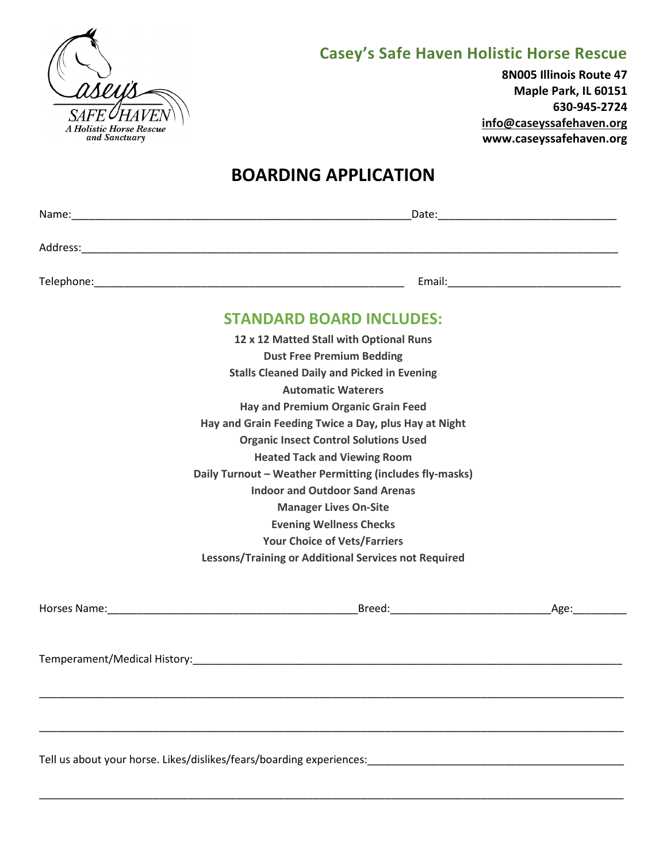

## **Casey's Safe Haven Holistic Horse Rescue**

**8N005 Illinois Route 47 Maple Park, IL 60151 630-945-2724 info@caseyssafehaven.org www.caseyssafehaven.org**

## **BOARDING APPLICATION**

|  | <b>STANDARD BOARD INCLUDES:</b>                                      |      |
|--|----------------------------------------------------------------------|------|
|  | 12 x 12 Matted Stall with Optional Runs                              |      |
|  | <b>Dust Free Premium Bedding</b>                                     |      |
|  | <b>Stalls Cleaned Daily and Picked in Evening</b>                    |      |
|  | <b>Automatic Waterers</b>                                            |      |
|  | <b>Hay and Premium Organic Grain Feed</b>                            |      |
|  | Hay and Grain Feeding Twice a Day, plus Hay at Night                 |      |
|  | <b>Organic Insect Control Solutions Used</b>                         |      |
|  | <b>Heated Tack and Viewing Room</b>                                  |      |
|  | Daily Turnout - Weather Permitting (includes fly-masks)              |      |
|  |                                                                      |      |
|  | <b>Manager Lives On-Site</b>                                         |      |
|  | <b>Evening Wellness Checks</b>                                       |      |
|  | <b>Your Choice of Vets/Farriers</b>                                  |      |
|  | Lessons/Training or Additional Services not Required                 |      |
|  |                                                                      | Age: |
|  |                                                                      |      |
|  |                                                                      |      |
|  | Tell us about your horse. Likes/dislikes/fears/boarding experiences: |      |

\_\_\_\_\_\_\_\_\_\_\_\_\_\_\_\_\_\_\_\_\_\_\_\_\_\_\_\_\_\_\_\_\_\_\_\_\_\_\_\_\_\_\_\_\_\_\_\_\_\_\_\_\_\_\_\_\_\_\_\_\_\_\_\_\_\_\_\_\_\_\_\_\_\_\_\_\_\_\_\_\_\_\_\_\_\_\_\_\_\_\_\_\_\_\_\_\_\_